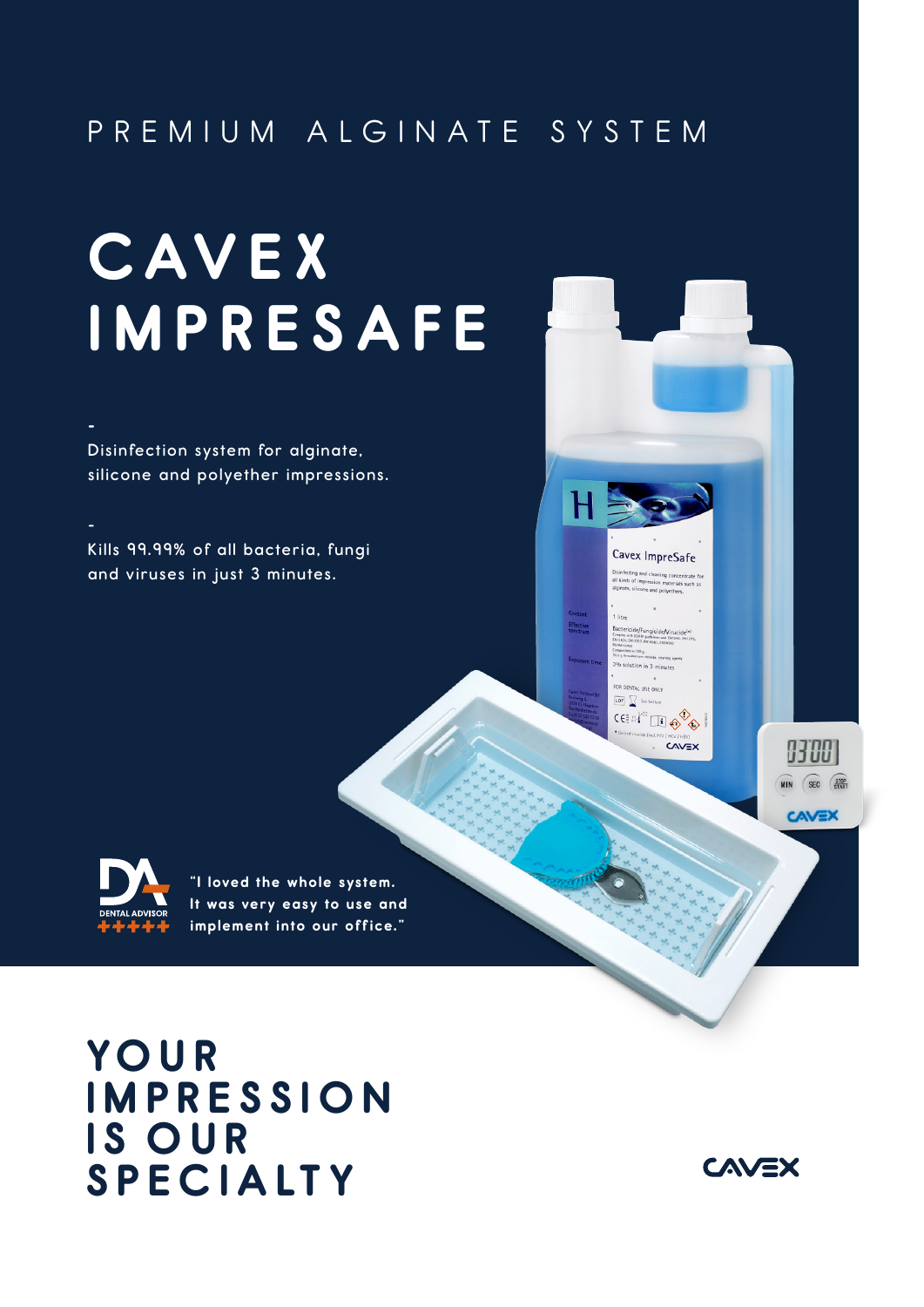## PREMIUM ALGINATE SYSTEM

 $H$ 

Cavex ImpreSafe isinfecting and cleaning concentrate fo<br>Il kinds of impression materials such as<br>Iginate, silicone and polyethers.

)<br>Sactericide/Fungicide/Virucide<sup>(\*)</sup><br>1813624. DV13727. EN14561. EN14562<br>1813624. DV13727. EN14561. EN14562 tion in 100 g: 3% solution in 3 minutes FOR DENTAL USE ONLY LOT See bottom CEE A HAT IT OF A

CAVEX

9300 MIN SEC START

**CAVEX** 

# **C AV E X l MPRESAFE**

**Disinfection system for alginate, silicone and polyether impressions.**

**Kills 99.99% of all bacteria, fungi and viruses in just 3 minutes.**



**-**

**-**

**"I loved the whole system. It was very easy to use and implement into our office."**

**YO U R l MPRESS l O N l S OUR SPEC l A LT Y**